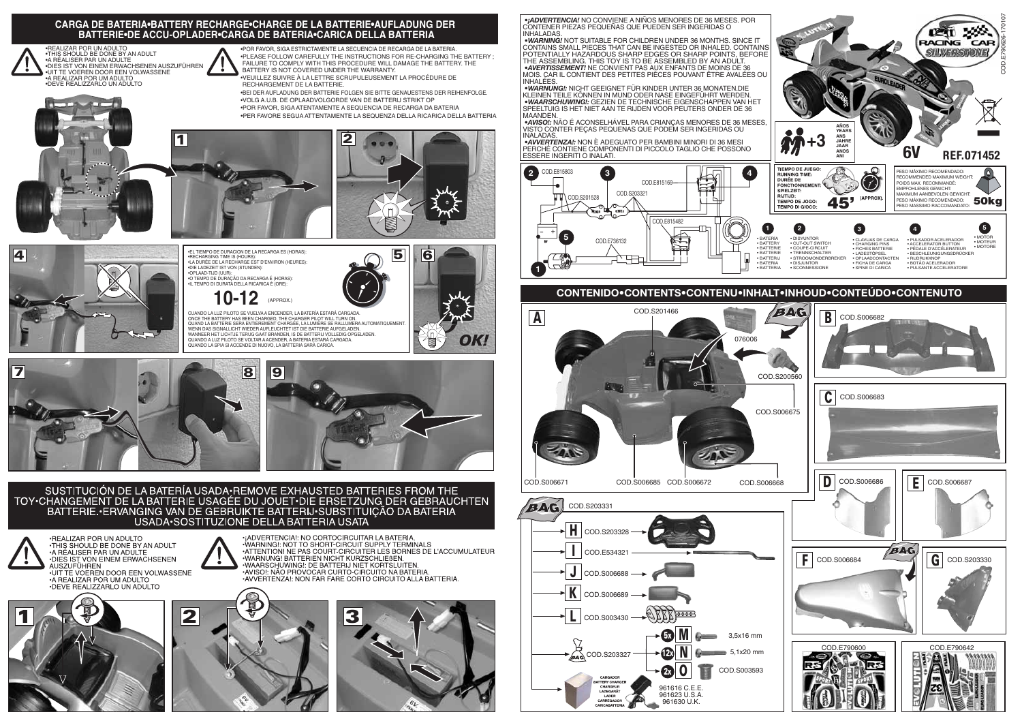•REALIZAR POR UN ADULTO<br>•THIS SHOULD BE DONE BY AN ADULT<br>•A RÉALISER PAR UN ADULTE<br>•DIES IST VON EINEM ERWACHSENEN AUSZUFÜHREN •UIT TE VOEREN DOOR EEN VOLWASSENE •A REALIZAR POR UM ADULTO •DEVE REALIZZARLO UN ADULTO

•POR FAVOR, SIGA ESTRICTAMENTE LA SECUENCIA DE RECARGA DE LA BATERIA. •PLEASE FOLLOW CAREFULLY THE INSTRUCTIONS FOR RE-CHARGING THE BATTERY ; FAILURE TO COMPLY WITH THIS PROCEDURE WILL DAMAGE THE BATTERY. THE BATTERY IS NOT COVERED UNDER THE WARRANTY.

> *•AVVERTENZA!:* NON È ADEGUATO PER BAMBINI MINORI DI 36 MESI PERCHÉ CONTIENE COMPONENTI DI PICCOLO TAGLIO CHE POSSONO ESSERE INGERITI O INALATI.

## **CARGA DE BATERIA•BATTERY RECHARGE•CHARGE DE LA BATTERIE•AUFLADUNG DER BATTERIE•DE ACCU-OPLADER•CARGA DE BATERIA•CARICA DELLA BATTERIA**

•VEUILLEZ SUIVRE À LA LETTRE SCRUPULEUSEMENT LA PROCÉDURE DE RECHARGEMENT DE LA BATTERIE.

•BEI DER AUFLADUNG DER BATTERIE FOLGEN SIE BITTE GENAUESTENS DER REIHENFOLGE. •VOLG A.U.B. DE OPLAADVOLGORDE VAN DE BATTERIJ STRIKT OP

CUANDO LA LUZ PILOTO SE VUELVA A ENCENDER, LA BATERÍA ESTARÁ CARGADA.<br>ONCE THE BATTERY HAS BEEN CHARGED, THE CHARGER PILOT WILL TURN ON.<br>QUAND LA BATTERIE SERA ENTIEREMENT CHARGÉE, LA LUMIÈRE SE RALLUMERA AUTOMATIQUEMENT. WENN DAS SIGNALLICHT WIEDER AUFLEUCHTET IST DIE BATTERIE AUFGELADEN.<br>WANNEER HET LICHTJE TERUG GAAT BRANDEN, IS DE BATTERIJ VOLLEDIG OPGELADEN.<br>QUANDO A LUZ PILOTO SE VOLTAR A ACENDER, A BATERIA ESTARÁ CARGADA. QUANDO LA SPIA SI ACCENDE DI NUOVO, LA BATTERIA SARÀ CARICA.



•POR FAVOR, SIGA ATENTAMENTE A SEQUENCIA DE RECARGA DA BATERIA •PER FAVORE SEGUA ATTENTAMENTE LA SEQUENZA DELLA RICARICA DELLA BATTERIA







![](_page_0_Picture_32.jpeg)

![](_page_0_Picture_10.jpeg)

![](_page_0_Picture_8.jpeg)

![](_page_0_Picture_11.jpeg)

![](_page_0_Picture_15.jpeg)

![](_page_0_Picture_9.jpeg)

![](_page_0_Picture_16.jpeg)

SUSTITUCIÓN DE LA BATERÍA USADA•REMOVE EXHAUSTED BATTERIES FROM THE<br>TOY•CHANGEMENT DE LA BATTERIE USAGÉE DU JOUET•DIE ERSETZUNG DER GEBRAUCHTEN BATTERIE. ERVANGING VAN DE GEBRUIKTE BATTERIJ SUBSTITUIÇÃO DA BATERIA USADA: SOSTITUZIONE DELLA BATTERIA USATA

![](_page_0_Picture_18.jpeg)

![](_page_0_Picture_7.jpeg)

DIES IST VON EINEM ERWACHSENEN **NUSZUFÜHREN** UIT TE VOEREN DOOR EEN VOLWASSENE **A REALIZAR POR UM ADULTO** · DEVE REALIZZARLO UN ADULTO

![](_page_0_Picture_20.jpeg)

![](_page_0_Picture_21.jpeg)

·¡ADVERTENCIA!: NO CORTOCIRCUITAR LA BATERIA. WARNING!: NOT TO SHORT-CIRCUIT SUPPLY TERMINALS ATTENTION! NE PAS COURT-CIRCUITER LES BORNES DE L'ACCUMULATEUR ·WARNUNG! BATTERIEN NICHT KURZSCHLIEßEN. WAARSCHUWING!: DE BATTERIJ NIET KORTSLUITEN. • AVISOL NÃO PROVOCAR CURTO-CIRCUITO NA BATERIA AVISO: NAO THOVOCAN CONTO-CINCOTO NA BATENIA.<br>•AVVERTENZA!: NON FAR FARE CORTO CIRCUITO ALLA BATTERIA.

![](_page_0_Picture_24.jpeg)